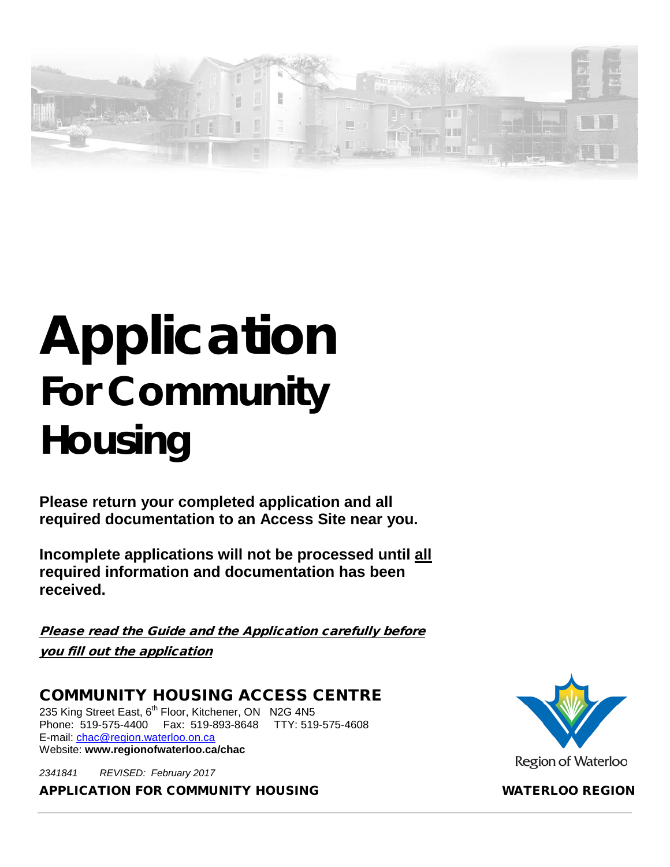

# **Application For Community Housing**

**Please return your completed application and all required documentation to an Access Site near you.** 

**Incomplete applications will not be processed until all required information and documentation has been received.**

Please read the Guide and the Application carefully before you fill out the application

COMMUNITY HOUSING ACCESS CENTRE 235 King Street East, 6<sup>th</sup> Floor, Kitchener, ON N2G 4N5 Phone: 519-575-4400 Fax: 519-893-8648 TTY: 519-575-4608 E-mail: [chac@region.waterloo.on.ca](mailto:chac@region.waterloo.on.ca)

Website: **www.regionofwaterloo.ca/chac**

*2341841 REVISED: February 2017*

APPLICATION FOR COMMUNITY HOUSING WATERLOO REGION

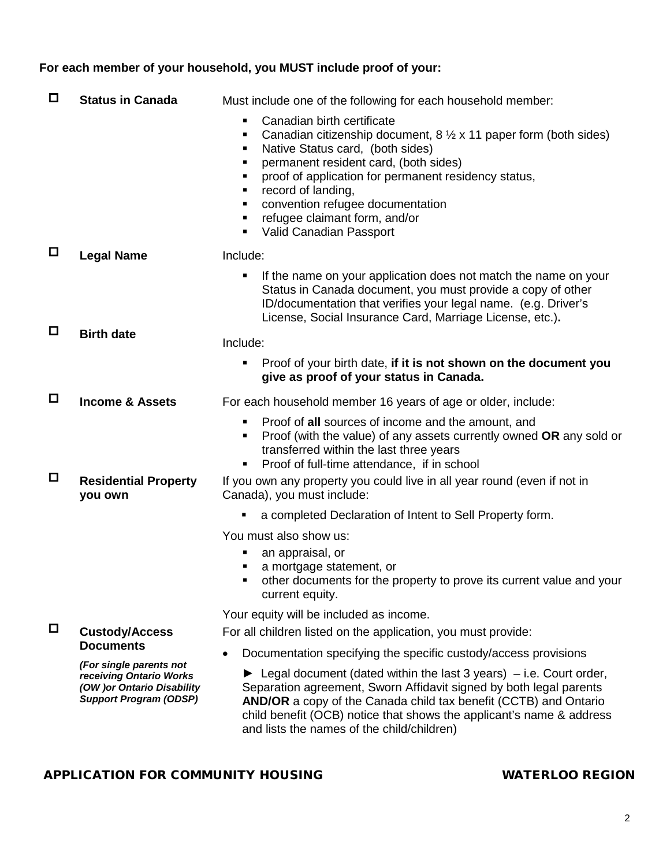# **For each member of your household, you MUST include proof of your:**

| $\Box$ | <b>Status in Canada</b>                                                                                           | Must include one of the following for each household member:                                                                                                                                                                                                                                                                                                                                                    |
|--------|-------------------------------------------------------------------------------------------------------------------|-----------------------------------------------------------------------------------------------------------------------------------------------------------------------------------------------------------------------------------------------------------------------------------------------------------------------------------------------------------------------------------------------------------------|
|        |                                                                                                                   | Canadian birth certificate<br>Canadian citizenship document, $8 \frac{1}{2} \times 11$ paper form (both sides)<br>٠<br>Native Status card, (both sides)<br>٠<br>permanent resident card, (both sides)<br>٠<br>proof of application for permanent residency status,<br>record of landing,<br>$\blacksquare$<br>convention refugee documentation<br>٠<br>refugee claimant form, and/or<br>Valid Canadian Passport |
| $\Box$ | <b>Legal Name</b>                                                                                                 | Include:                                                                                                                                                                                                                                                                                                                                                                                                        |
|        |                                                                                                                   | If the name on your application does not match the name on your<br>$\blacksquare$<br>Status in Canada document, you must provide a copy of other<br>ID/documentation that verifies your legal name. (e.g. Driver's<br>License, Social Insurance Card, Marriage License, etc.).                                                                                                                                  |
| □      | <b>Birth date</b>                                                                                                 | Include:                                                                                                                                                                                                                                                                                                                                                                                                        |
|        |                                                                                                                   | Proof of your birth date, if it is not shown on the document you<br>give as proof of your status in Canada.                                                                                                                                                                                                                                                                                                     |
| $\Box$ | <b>Income &amp; Assets</b>                                                                                        | For each household member 16 years of age or older, include:                                                                                                                                                                                                                                                                                                                                                    |
|        |                                                                                                                   | Proof of all sources of income and the amount, and<br>Proof (with the value) of any assets currently owned OR any sold or<br>٠<br>transferred within the last three years<br>Proof of full-time attendance, if in school<br>$\blacksquare$                                                                                                                                                                      |
| $\Box$ | <b>Residential Property</b><br>you own                                                                            | If you own any property you could live in all year round (even if not in<br>Canada), you must include:                                                                                                                                                                                                                                                                                                          |
|        |                                                                                                                   | a completed Declaration of Intent to Sell Property form.                                                                                                                                                                                                                                                                                                                                                        |
|        |                                                                                                                   | You must also show us:                                                                                                                                                                                                                                                                                                                                                                                          |
|        |                                                                                                                   | an appraisal, or<br>a mortgage statement, or<br>other documents for the property to prove its current value and your<br>current equity.                                                                                                                                                                                                                                                                         |
|        |                                                                                                                   | Your equity will be included as income.                                                                                                                                                                                                                                                                                                                                                                         |
| $\Box$ | <b>Custody/Access</b>                                                                                             | For all children listed on the application, you must provide:                                                                                                                                                                                                                                                                                                                                                   |
|        | <b>Documents</b>                                                                                                  | Documentation specifying the specific custody/access provisions                                                                                                                                                                                                                                                                                                                                                 |
|        | (For single parents not<br>receiving Ontario Works<br>(OW) or Ontario Disability<br><b>Support Program (ODSP)</b> | $\blacktriangleright$ Legal document (dated within the last 3 years) – i.e. Court order,<br>Separation agreement, Sworn Affidavit signed by both legal parents<br>AND/OR a copy of the Canada child tax benefit (CCTB) and Ontario<br>child benefit (OCB) notice that shows the applicant's name & address<br>and lists the names of the child/children)                                                        |

# APPLICATION FOR COMMUNITY HOUSING WATERLOO REGION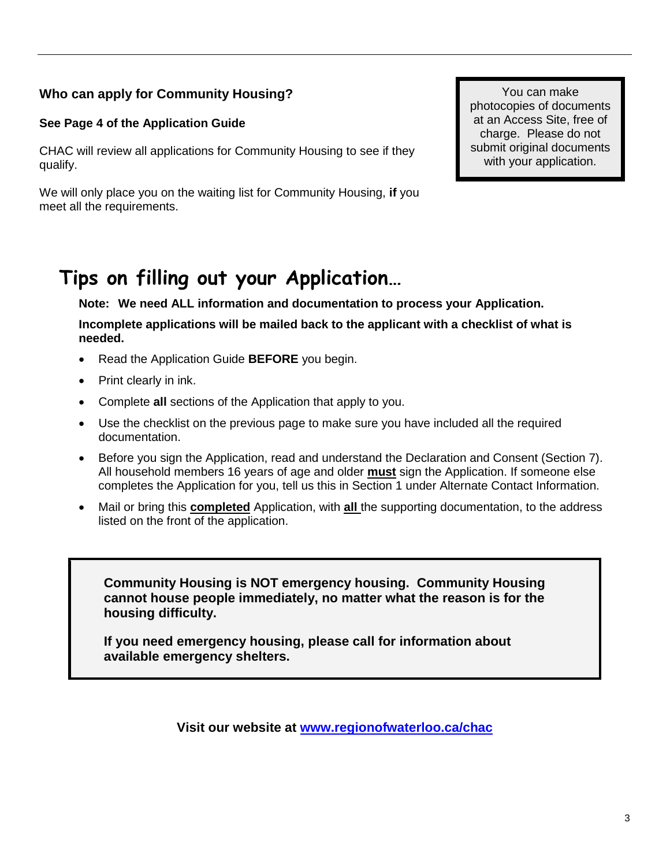# **Who can apply for Community Housing?**

### **See Page 4 of the Application Guide**

CHAC will review all applications for Community Housing to see if they qualify.

We will only place you on the waiting list for Community Housing, **if** you meet all the requirements.

**Tips on filling out your Application…**

**Note: We need ALL information and documentation to process your Application. Incomplete applications will be mailed back to the applicant with a checklist of what is needed.**

- Read the Application Guide **BEFORE** you begin.
- Print clearly in ink.
- Complete **all** sections of the Application that apply to you.
- Use the checklist on the previous page to make sure you have included all the required documentation.
- Before you sign the Application, read and understand the Declaration and Consent (Section 7). All household members 16 years of age and older **must** sign the Application. If someone else completes the Application for you, tell us this in Section 1 under Alternate Contact Information.
- Mail or bring this **completed** Application, with **all** the supporting documentation, to the address listed on the front of the application.

**Community Housing is NOT emergency housing. Community Housing cannot house people immediately, no matter what the reason is for the housing difficulty.**

**If you need emergency housing, please call for information about available emergency shelters.**

**Visit our website at [www.regionofwaterloo.ca/chac](http://www.regionofwaterloo.ca/chac)**

You can make photocopies of documents at an Access Site, free of charge. Please do not submit original documents with your application.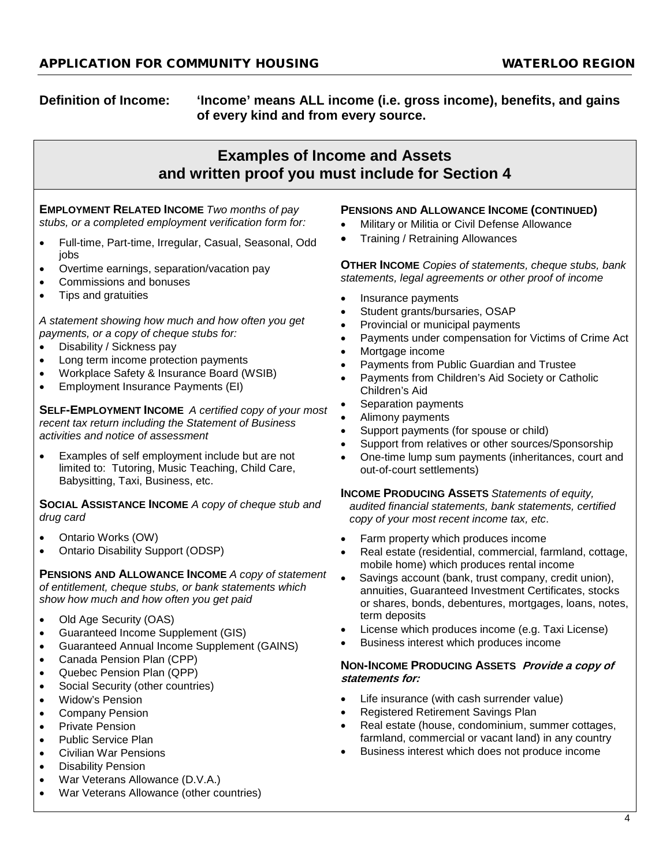**Definition of Income: 'Income' means ALL income (i.e. gross income), benefits, and gains of every kind and from every source.**

# **Examples of Income and Assets and written proof you must include for Section 4**

**EMPLOYMENT RELATED INCOME** *Two months of pay stubs, or a completed employment verification form for:*

- Full-time, Part-time, Irregular, Casual, Seasonal, Odd jobs
- Overtime earnings, separation/vacation pay
- Commissions and bonuses
- Tips and gratuities

*A statement showing how much and how often you get payments, or a copy of cheque stubs for:*

- Disability / Sickness pay
- Long term income protection payments
- Workplace Safety & Insurance Board (WSIB)
- Employment Insurance Payments (EI)

**SELF-EMPLOYMENT INCOME** *A certified copy of your most recent tax return including the Statement of Business activities and notice of assessment*

• Examples of self employment include but are not limited to: Tutoring, Music Teaching, Child Care, Babysitting, Taxi, Business, etc.

**SOCIAL ASSISTANCE INCOME** *A copy of cheque stub and drug card*

- Ontario Works (OW)
- Ontario Disability Support (ODSP)

**PENSIONS AND ALLOWANCE INCOME** *A copy of statement of entitlement, cheque stubs, or bank statements which show how much and how often you get paid*

- Old Age Security (OAS)
- Guaranteed Income Supplement (GIS)
- Guaranteed Annual Income Supplement (GAINS)
- Canada Pension Plan (CPP)
- Quebec Pension Plan (QPP)
- Social Security (other countries)
- Widow's Pension
- Company Pension
- Private Pension
- Public Service Plan
- Civilian War Pensions
- Disability Pension
- War Veterans Allowance (D.V.A.)
- War Veterans Allowance (other countries)

### **PENSIONS AND ALLOWANCE INCOME (CONTINUED)**

- Military or Militia or Civil Defense Allowance
- Training / Retraining Allowances

**OTHER INCOME** *Copies of statements, cheque stubs, bank statements, legal agreements or other proof of income* 

- Insurance payments
- Student grants/bursaries, OSAP
- Provincial or municipal payments
- Payments under compensation for Victims of Crime Act
- Mortgage income
- Payments from Public Guardian and Trustee
- Payments from Children's Aid Society or Catholic Children's Aid
- Separation payments
- Alimony payments
- Support payments (for spouse or child)
- Support from relatives or other sources/Sponsorship
- One-time lump sum payments (inheritances, court and out-of-court settlements)

### **INCOME PRODUCING ASSETS** *Statements of equity,*

*audited financial statements, bank statements, certified copy of your most recent income tax, etc*.

- Farm property which produces income
- Real estate (residential, commercial, farmland, cottage, mobile home) which produces rental income
- Savings account (bank, trust company, credit union), annuities, Guaranteed Investment Certificates, stocks or shares, bonds, debentures, mortgages, loans, notes, term deposits
- License which produces income (e.g. Taxi License)
- Business interest which produces income

### **NON-INCOME PRODUCING ASSETS Provide a copy of statements for:**

- Life insurance (with cash surrender value)
- Registered Retirement Savings Plan
- Real estate (house, condominium, summer cottages, farmland, commercial or vacant land) in any country
- Business interest which does not produce income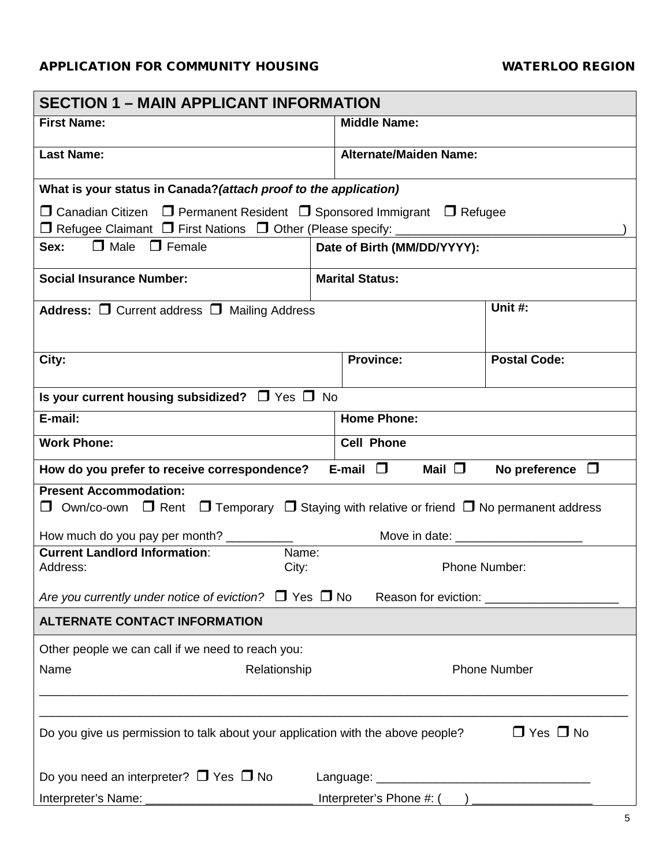| <b>SECTION 1 - MAIN APPLICANT INFORMATION</b>                                                                                               |       |                                 |                                               |  |  |
|---------------------------------------------------------------------------------------------------------------------------------------------|-------|---------------------------------|-----------------------------------------------|--|--|
| <b>First Name:</b>                                                                                                                          |       | <b>Middle Name:</b>             |                                               |  |  |
| <b>Last Name:</b>                                                                                                                           |       | <b>Alternate/Maiden Name:</b>   |                                               |  |  |
| What is your status in Canada? (attach proof to the application)                                                                            |       |                                 |                                               |  |  |
| $\Box$ Canadian Citizen $\Box$ Permanent Resident $\Box$ Sponsored Immigrant $\Box$ Refugee                                                 |       |                                 |                                               |  |  |
| □ Refugee Claimant □ First Nations □ Other (Please specify: ____________________<br>$\Box$ Male $\Box$ Female<br>Sex:                       |       | Date of Birth (MM/DD/YYYY):     |                                               |  |  |
|                                                                                                                                             |       |                                 |                                               |  |  |
| <b>Social Insurance Number:</b>                                                                                                             |       | <b>Marital Status:</b>          |                                               |  |  |
| Address: □ Current address □ Mailing Address                                                                                                |       |                                 | Unit #:                                       |  |  |
|                                                                                                                                             |       |                                 |                                               |  |  |
| City:                                                                                                                                       |       | <b>Province:</b>                | <b>Postal Code:</b>                           |  |  |
| Is your current housing subsidized? $\Box$ Yes $\Box$ No                                                                                    |       |                                 |                                               |  |  |
| E-mail:                                                                                                                                     |       | <b>Home Phone:</b>              |                                               |  |  |
| <b>Work Phone:</b>                                                                                                                          |       | <b>Cell Phone</b>               |                                               |  |  |
| How do you prefer to receive correspondence?                                                                                                |       | E-mail $\square$<br>Mail $\Box$ | No preference $\Box$                          |  |  |
| <b>Present Accommodation:</b><br>Own/co-own $\Box$ Rent $\Box$ Temporary $\Box$ Staying with relative or friend $\Box$ No permanent address |       |                                 |                                               |  |  |
| How much do you pay per month? ____________                                                                                                 |       | Move in date: ________________  |                                               |  |  |
| <b>Current Landlord Information:</b><br>Address:<br>City:                                                                                   | Name: | Phone Number:                   |                                               |  |  |
| Are you currently under notice of eviction? $\Box$ Yes $\Box$ No                                                                            |       |                                 | Reason for eviction: ________________________ |  |  |
| <b>ALTERNATE CONTACT INFORMATION</b>                                                                                                        |       |                                 |                                               |  |  |
| Other people we can call if we need to reach you:                                                                                           |       |                                 |                                               |  |  |
| Name<br>Relationship                                                                                                                        |       |                                 | <b>Phone Number</b>                           |  |  |
|                                                                                                                                             |       |                                 |                                               |  |  |
| $\Box$ Yes $\Box$ No<br>Do you give us permission to talk about your application with the above people?                                     |       |                                 |                                               |  |  |
| Do you need an interpreter? $\Box$ Yes $\Box$ No                                                                                            |       |                                 |                                               |  |  |
|                                                                                                                                             |       |                                 |                                               |  |  |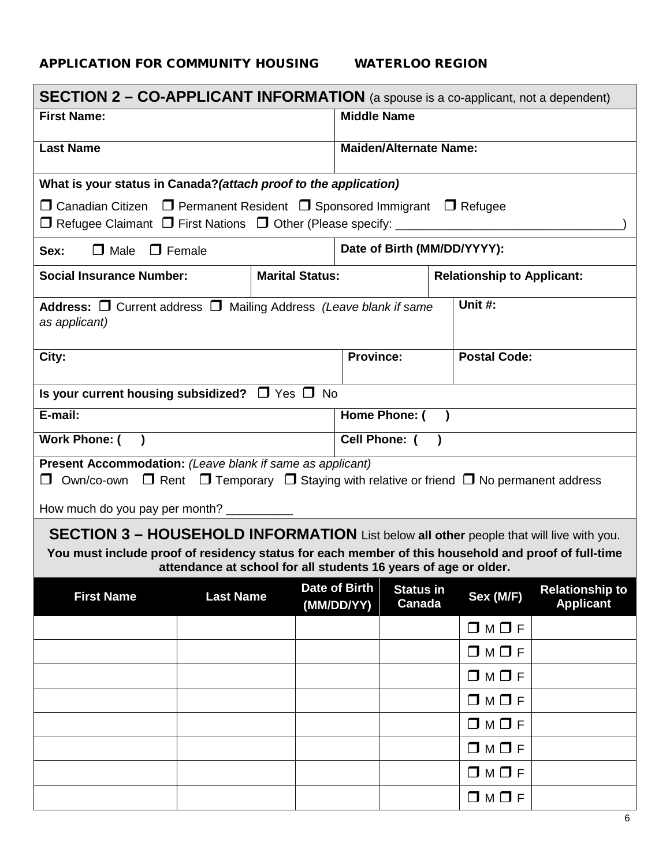| <b>SECTION 2 - CO-APPLICANT INFORMATION</b> (a spouse is a co-applicant, not a dependent)                                                                                       |                  |                                                                                                 |                      |                               |               |                                   |                                            |
|---------------------------------------------------------------------------------------------------------------------------------------------------------------------------------|------------------|-------------------------------------------------------------------------------------------------|----------------------|-------------------------------|---------------|-----------------------------------|--------------------------------------------|
| <b>First Name:</b>                                                                                                                                                              |                  |                                                                                                 | <b>Middle Name</b>   |                               |               |                                   |                                            |
| <b>Last Name</b>                                                                                                                                                                |                  |                                                                                                 |                      | <b>Maiden/Alternate Name:</b> |               |                                   |                                            |
| What is your status in Canada? (attach proof to the application)                                                                                                                |                  |                                                                                                 |                      |                               |               |                                   |                                            |
| $\Box$ Canadian Citizen $\Box$ Permanent Resident $\Box$ Sponsored Immigrant $\Box$ Refugee<br>□ Refugee Claimant □ First Nations □ Other (Please specify: ____________________ |                  |                                                                                                 |                      |                               |               |                                   |                                            |
| $\Box$ Male $\Box$ Female<br>Sex:                                                                                                                                               |                  |                                                                                                 |                      |                               |               | Date of Birth (MM/DD/YYYY):       |                                            |
| <b>Social Insurance Number:</b>                                                                                                                                                 |                  | <b>Marital Status:</b>                                                                          |                      |                               |               | <b>Relationship to Applicant:</b> |                                            |
| Unit #:<br>Address: □ Current address □ Mailing Address (Leave blank if same<br>as applicant)                                                                                   |                  |                                                                                                 |                      |                               |               |                                   |                                            |
| City:                                                                                                                                                                           |                  |                                                                                                 | <b>Province:</b>     |                               |               | <b>Postal Code:</b>               |                                            |
| Is your current housing subsidized? $\Box$ Yes $\Box$ No                                                                                                                        |                  |                                                                                                 |                      |                               |               |                                   |                                            |
| E-mail:                                                                                                                                                                         |                  |                                                                                                 |                      | Home Phone: (                 | $\rightarrow$ |                                   |                                            |
| <b>Work Phone: (</b><br>$\lambda$                                                                                                                                               |                  |                                                                                                 | Cell Phone: (        |                               |               |                                   |                                            |
| Present Accommodation: (Leave blank if same as applicant)<br>Own/co-own<br>How much do you pay per month? ________                                                              |                  | $\Box$ Rent $\Box$ Temporary $\Box$ Staying with relative or friend $\Box$ No permanent address |                      |                               |               |                                   |                                            |
| SECTION 3 - HOUSEHOLD INFORMATION List below all other people that will live with you.                                                                                          |                  |                                                                                                 |                      |                               |               |                                   |                                            |
| You must include proof of residency status for each member of this household and proof of full-time                                                                             |                  | attendance at school for all students 16 years of age or older.                                 |                      |                               |               |                                   |                                            |
| <b>First Name</b>                                                                                                                                                               | <b>Last Name</b> | (MM/DD/YY)                                                                                      | <b>Date of Birth</b> | <b>Status in</b><br>Canada    |               | Sex (M/F)                         | <b>Relationship to</b><br><b>Applicant</b> |
|                                                                                                                                                                                 |                  |                                                                                                 |                      |                               |               | $\square$ M $\square$ F           |                                            |
|                                                                                                                                                                                 |                  |                                                                                                 |                      |                               |               | $\square$ M $\square$ F           |                                            |
|                                                                                                                                                                                 |                  |                                                                                                 |                      |                               |               | $\square$ M $\square$ F           |                                            |
|                                                                                                                                                                                 |                  |                                                                                                 |                      |                               |               | $\square$ M $\square$ F           |                                            |
|                                                                                                                                                                                 |                  |                                                                                                 |                      |                               |               | $\square$ M $\square$ F           |                                            |
|                                                                                                                                                                                 |                  |                                                                                                 |                      |                               |               | $\square$ M $\square$ F           |                                            |
|                                                                                                                                                                                 |                  |                                                                                                 |                      |                               |               | $\square$ M $\square$ F           |                                            |
|                                                                                                                                                                                 |                  |                                                                                                 |                      |                               |               | $\square$ M $\square$ F           |                                            |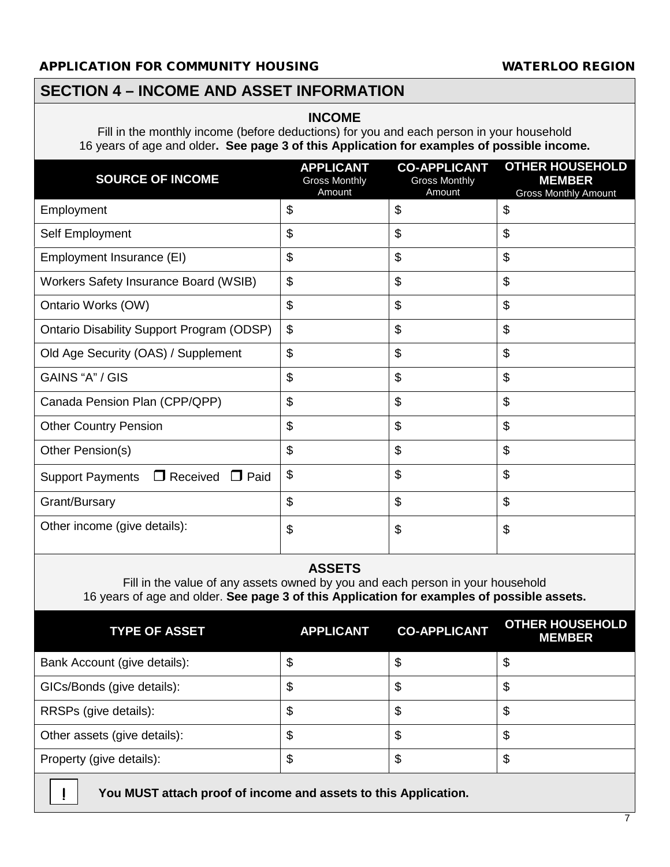### APPLICATION FOR COMMUNITY HOUSING WATERLOO REGION

# **SECTION 4 – INCOME AND ASSET INFORMATION**

## **INCOME**

Fill in the monthly income (before deductions) for you and each person in your household 16 years of age and older**. See page 3 of this Application for examples of possible income.**

| <b>SOURCE OF INCOME</b>                                                                                                                                                                       | <b>APPLICANT</b><br><b>Gross Monthly</b><br>Amount | <b>CO-APPLICANT</b><br><b>Gross Monthly</b><br>Amount | <b>OTHER HOUSEHOLD</b><br><b>MEMBER</b><br><b>Gross Monthly Amount</b> |
|-----------------------------------------------------------------------------------------------------------------------------------------------------------------------------------------------|----------------------------------------------------|-------------------------------------------------------|------------------------------------------------------------------------|
| Employment                                                                                                                                                                                    | \$                                                 | \$                                                    | \$                                                                     |
| Self Employment                                                                                                                                                                               | \$                                                 | \$                                                    | \$                                                                     |
| Employment Insurance (EI)                                                                                                                                                                     | \$                                                 | \$                                                    | \$                                                                     |
| Workers Safety Insurance Board (WSIB)                                                                                                                                                         | $\mathfrak{S}$                                     | \$                                                    | \$                                                                     |
| Ontario Works (OW)                                                                                                                                                                            | \$                                                 | \$                                                    | \$                                                                     |
| <b>Ontario Disability Support Program (ODSP)</b>                                                                                                                                              | \$                                                 | \$                                                    | \$                                                                     |
| Old Age Security (OAS) / Supplement                                                                                                                                                           | \$                                                 | \$                                                    | \$                                                                     |
| GAINS "A" / GIS                                                                                                                                                                               | \$                                                 | \$                                                    | \$                                                                     |
| Canada Pension Plan (CPP/QPP)                                                                                                                                                                 | \$                                                 | \$                                                    | \$                                                                     |
| <b>Other Country Pension</b>                                                                                                                                                                  | \$                                                 | \$                                                    | \$                                                                     |
| Other Pension(s)                                                                                                                                                                              | \$                                                 | \$                                                    | \$                                                                     |
| $\Box$ Received $\Box$ Paid<br><b>Support Payments</b>                                                                                                                                        | \$                                                 | \$                                                    | \$                                                                     |
| Grant/Bursary                                                                                                                                                                                 | \$                                                 | \$                                                    | \$                                                                     |
| Other income (give details):                                                                                                                                                                  | \$                                                 | \$                                                    | \$                                                                     |
| <b>ASSETS</b><br>Fill in the value of any assets owned by you and each person in your household<br>16 years of age and older. See page 3 of this Application for examples of possible assets. |                                                    |                                                       |                                                                        |

| <b>TYPE OF ASSET</b>         | <b>APPLICANT</b> | <b>CO-APPLICANT</b> | <b>OTHER HOUSEHOLD</b><br><b>MEMBER</b> |
|------------------------------|------------------|---------------------|-----------------------------------------|
| Bank Account (give details): | Φ                | Φ                   | Φ                                       |
| GICs/Bonds (give details):   |                  | ง                   | Φ                                       |
| RRSPs (give details):        | ง                |                     | Φ                                       |
| Other assets (give details): |                  | ง                   | \$                                      |
| Property (give details):     | Φ                |                     | \$                                      |

**You MUST attach proof of income and assets to this Application. !**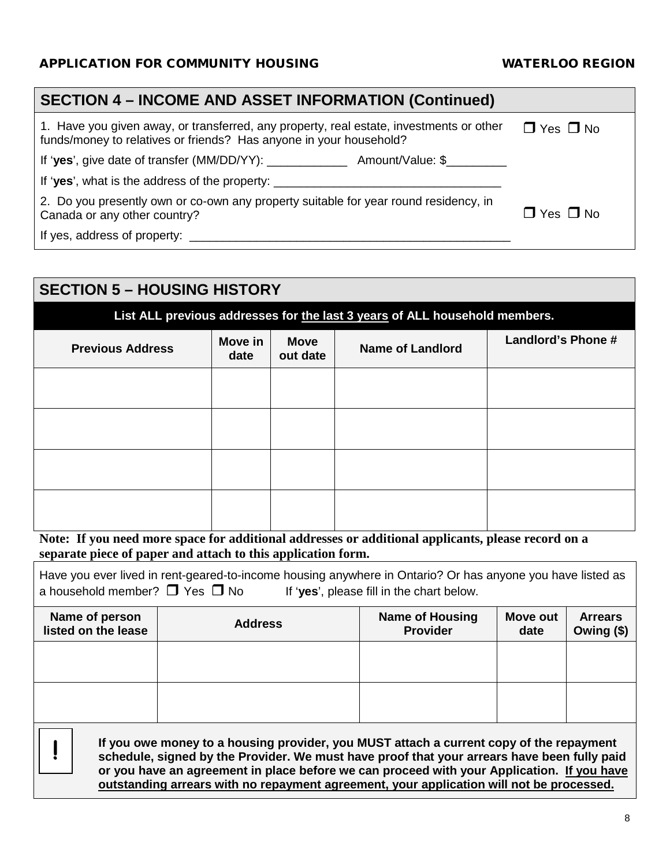$\Box$  Yes  $\Box$  No.

1. Have you given away, or transferred, any property, real estate, investments or other funds/money to relatives or friends? Has anyone in your household?  $\Box$  Yes  $\Box$  No.

If '**yes**', give date of transfer (MM/DD/YY): \_\_\_\_\_\_\_\_\_\_\_\_ Amount/Value: \$\_\_\_\_\_\_\_\_\_

If 'yes', what is the address of the property:

2. Do you presently own or co-own any property suitable for year round residency, in Canada or any other country?

If yes, address of property:  $\blacksquare$ 

**!**

# **SECTION 5 – HOUSING HISTORY**

**List ALL previous addresses for the last 3 years of ALL household members.**

| <b>Previous Address</b> | Move in<br>date | <b>Move</b><br>out date | <b>Name of Landlord</b> | Landlord's Phone # |
|-------------------------|-----------------|-------------------------|-------------------------|--------------------|
|                         |                 |                         |                         |                    |
|                         |                 |                         |                         |                    |
|                         |                 |                         |                         |                    |
|                         |                 |                         |                         |                    |

**Note: If you need more space for additional addresses or additional applicants, please record on a separate piece of paper and attach to this application form.**

Have you ever lived in rent-geared-to-income housing anywhere in Ontario? Or has anyone you have listed as a household member?  $\Box$  Yes  $\Box$  No If '**yes**', please fill in the chart below.

| Name of person<br>listed on the lease | <b>Address</b> | <b>Name of Housing</b><br>Provider | Move out<br>date | <b>Arrears</b><br>Owing (\$) |
|---------------------------------------|----------------|------------------------------------|------------------|------------------------------|
|                                       |                |                                    |                  |                              |
|                                       |                |                                    |                  |                              |
|                                       |                |                                    |                  |                              |

**If you owe money to a housing provider, you MUST attach a current copy of the repayment schedule, signed by the Provider. We must have proof that your arrears have been fully paid or you have an agreement in place before we can proceed with your Application. If you have outstanding arrears with no repayment agreement, your application will not be processed.**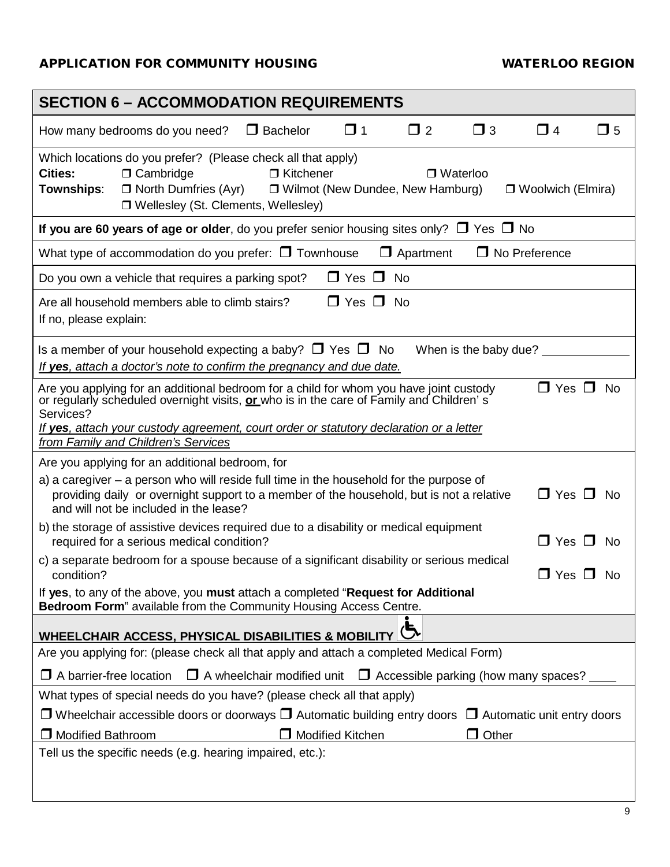# APPLICATION FOR COMMUNITY HOUSING WATERLOO REGION

| <b>SECTION 6 - ACCOMMODATION REQUIREMENTS</b>                                                                                                                                                                                                                                                                                                                      |  |  |  |  |  |
|--------------------------------------------------------------------------------------------------------------------------------------------------------------------------------------------------------------------------------------------------------------------------------------------------------------------------------------------------------------------|--|--|--|--|--|
| $\square$ 2<br>$\Box$ 3<br>$\Box$ 1<br>$\Box$ 4<br>□ 5<br>$\Box$ Bachelor<br>How many bedrooms do you need?                                                                                                                                                                                                                                                        |  |  |  |  |  |
| Which locations do you prefer? (Please check all that apply)<br>Cities:<br>$\Box$ Kitchener<br>$\Box$ Waterloo<br>$\Box$ Cambridge<br>$\Box$ North Dumfries (Ayr)<br>□ Wilmot (New Dundee, New Hamburg)<br>Townships:<br>□ Woolwich (Elmira)<br>□ Wellesley (St. Clements, Wellesley)                                                                              |  |  |  |  |  |
| If you are 60 years of age or older, do you prefer senior housing sites only? $\Box$ Yes $\Box$ No                                                                                                                                                                                                                                                                 |  |  |  |  |  |
| What type of accommodation do you prefer: $\Box$ Townhouse<br>$\Box$ Apartment<br>$\Box$ No Preference                                                                                                                                                                                                                                                             |  |  |  |  |  |
| Do you own a vehicle that requires a parking spot?<br>$\Box$ Yes $\Box$<br><b>No</b>                                                                                                                                                                                                                                                                               |  |  |  |  |  |
| $\Box$ Yes $\Box$<br>Are all household members able to climb stairs?<br><b>No</b><br>If no, please explain:                                                                                                                                                                                                                                                        |  |  |  |  |  |
| Is a member of your household expecting a baby? $\Box$ Yes $\Box$ No<br>When is the baby due?<br>If yes, attach a doctor's note to confirm the pregnancy and due date.                                                                                                                                                                                             |  |  |  |  |  |
| $\Box$ Yes $\Box$<br>Are you applying for an additional bedroom for a child for whom you have joint custody<br><b>No</b><br>or regularly scheduled overnight visits, or who is in the care of Family and Children's<br>Services?<br>If yes, attach your custody agreement, court order or statutory declaration or a letter<br>from Family and Children's Services |  |  |  |  |  |
| Are you applying for an additional bedroom, for                                                                                                                                                                                                                                                                                                                    |  |  |  |  |  |
| a) a caregiver – a person who will reside full time in the household for the purpose of<br>$\Box$ Yes $\Box$ No<br>providing daily or overnight support to a member of the household, but is not a relative<br>and will not be included in the lease?                                                                                                              |  |  |  |  |  |
| b) the storage of assistive devices required due to a disability or medical equipment<br>$\Box$ Yes $\Box$ No<br>required for a serious medical condition?                                                                                                                                                                                                         |  |  |  |  |  |
| c) a separate bedroom for a spouse because of a significant disability or serious medical<br>condition?<br>$\square$ Yes $\square$<br>No.                                                                                                                                                                                                                          |  |  |  |  |  |
| If yes, to any of the above, you must attach a completed "Request for Additional<br>Bedroom Form" available from the Community Housing Access Centre.                                                                                                                                                                                                              |  |  |  |  |  |
| WHEELCHAIR ACCESS, PHYSICAL DISABILITIES & MOBILITY                                                                                                                                                                                                                                                                                                                |  |  |  |  |  |
| Are you applying for: (please check all that apply and attach a completed Medical Form)                                                                                                                                                                                                                                                                            |  |  |  |  |  |
| $\Box$ A barrier-free location<br>$\Box$ A wheelchair modified unit<br>$\Box$ Accessible parking (how many spaces?                                                                                                                                                                                                                                                 |  |  |  |  |  |
| What types of special needs do you have? (please check all that apply)                                                                                                                                                                                                                                                                                             |  |  |  |  |  |
| $\Box$ Wheelchair accessible doors or doorways $\Box$ Automatic building entry doors $\Box$ Automatic unit entry doors                                                                                                                                                                                                                                             |  |  |  |  |  |
| $\Box$ Modified Bathroom<br>$\Box$ Other<br><b>Modified Kitchen</b>                                                                                                                                                                                                                                                                                                |  |  |  |  |  |
| Tell us the specific needs (e.g. hearing impaired, etc.):                                                                                                                                                                                                                                                                                                          |  |  |  |  |  |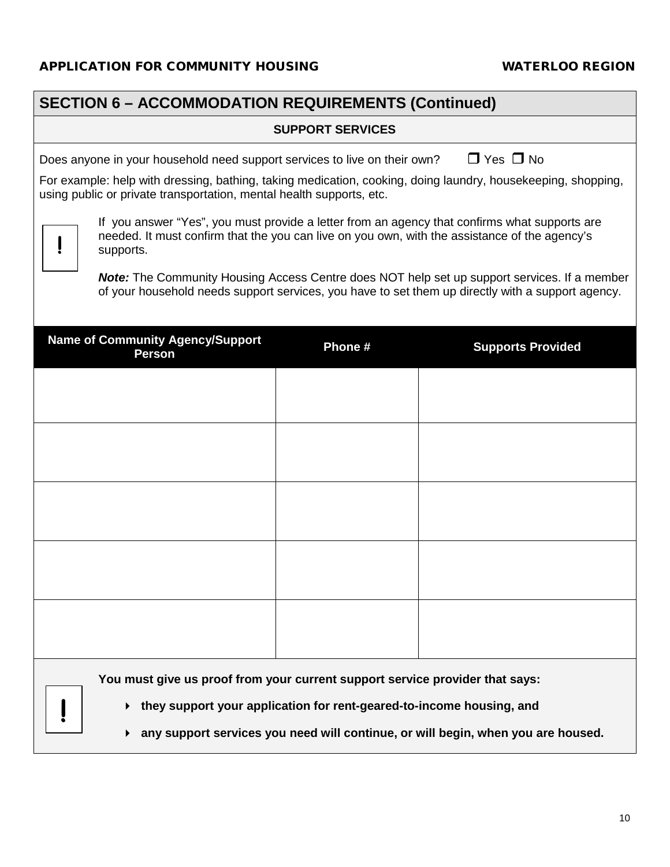| <b>SECTION 6 - ACCOMMODATION REQUIREMENTS (Continued)</b>                                                                                                                                                                                                                                                                                                                                                                                                                                                                                                                                                                                                                                                            |                         |                                                                                  |  |
|----------------------------------------------------------------------------------------------------------------------------------------------------------------------------------------------------------------------------------------------------------------------------------------------------------------------------------------------------------------------------------------------------------------------------------------------------------------------------------------------------------------------------------------------------------------------------------------------------------------------------------------------------------------------------------------------------------------------|-------------------------|----------------------------------------------------------------------------------|--|
|                                                                                                                                                                                                                                                                                                                                                                                                                                                                                                                                                                                                                                                                                                                      | <b>SUPPORT SERVICES</b> |                                                                                  |  |
| $\Box$ Yes $\Box$ No<br>Does anyone in your household need support services to live on their own?<br>For example: help with dressing, bathing, taking medication, cooking, doing laundry, housekeeping, shopping,<br>using public or private transportation, mental health supports, etc.<br>If you answer "Yes", you must provide a letter from an agency that confirms what supports are<br>needed. It must confirm that the you can live on you own, with the assistance of the agency's<br>supports.<br><b>Note:</b> The Community Housing Access Centre does NOT help set up support services. If a member<br>of your household needs support services, you have to set them up directly with a support agency. |                         |                                                                                  |  |
| <b>Name of Community Agency/Support</b><br><b>Person</b>                                                                                                                                                                                                                                                                                                                                                                                                                                                                                                                                                                                                                                                             | Phone #                 | <b>Supports Provided</b>                                                         |  |
|                                                                                                                                                                                                                                                                                                                                                                                                                                                                                                                                                                                                                                                                                                                      |                         |                                                                                  |  |
|                                                                                                                                                                                                                                                                                                                                                                                                                                                                                                                                                                                                                                                                                                                      |                         |                                                                                  |  |
|                                                                                                                                                                                                                                                                                                                                                                                                                                                                                                                                                                                                                                                                                                                      |                         |                                                                                  |  |
|                                                                                                                                                                                                                                                                                                                                                                                                                                                                                                                                                                                                                                                                                                                      |                         |                                                                                  |  |
|                                                                                                                                                                                                                                                                                                                                                                                                                                                                                                                                                                                                                                                                                                                      |                         |                                                                                  |  |
| You must give us proof from your current support service provider that says:<br>they support your application for rent-geared-to-income housing, and                                                                                                                                                                                                                                                                                                                                                                                                                                                                                                                                                                 |                         | any support services you need will continue, or will begin, when you are housed. |  |